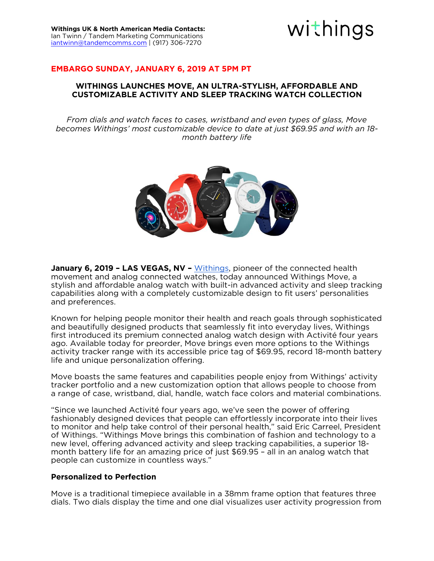

## **EMBARGO SUNDAY, JANUARY 6, 2019 AT 5PM PT**

### **WITHINGS LAUNCHES MOVE, AN ULTRA-STYLISH, AFFORDABLE AND CUSTOMIZABLE ACTIVITY AND SLEEP TRACKING WATCH COLLECTION**

*From dials and watch faces to cases, wristband and even types of glass, Move becomes Withings' most customizable device to date at just \$69.95 and with an 18 month battery life* 



**January 6, 2019 - LAS VEGAS, NV -** [Withings,](http://www.withings.com/) pioneer of the connected health movement and analog connected watches, today announced Withings Move, a stylish and affordable analog watch with built-in advanced activity and sleep tracking capabilities along with a completely customizable design to fit users' personalities and preferences. and preferences.

Known for helping people monitor their health and reach goals through sophisticated and beautifully designed products that seamlessly fit into everyday lives. Withings first introduced its premium connected analog watch design with Activité four years ago. Available today for preorder, Move brings even more options to the Withings activity tracker range with its accessible price tag of \$69.95, record 18-month battery life and unique personalization offering. life and unique personalization offering.

Move boasts the same features and capabilities people enjoy from Withings' activity tracker portfolio and a new customization option that allows people to choose from a range of case, wristband, dial, handle, watch face colors and material combinations. a range of case, wristband, dial, handle, watch face colors and material combinations.

"Since we launched Activité four years ago, we've seen the power of offering to monitor and help take control of their personal health," said Eric Carreel, President of Withings. "Withings Move brings this combination of fashion and technology to a new level, offering advanced activity and sleep tracking capabilities, a superior 18month battery life for an amazing price of just \$69.95 - all in an analog watch that people can customize in countless ways." people can customize in countless ways."

### **Personalized to Perfection Personalized to Perfection**

dials. Two dials display the time and one dial visualizes user activity progression from dials. Two dials display the time and one dial visualizes user activity progression from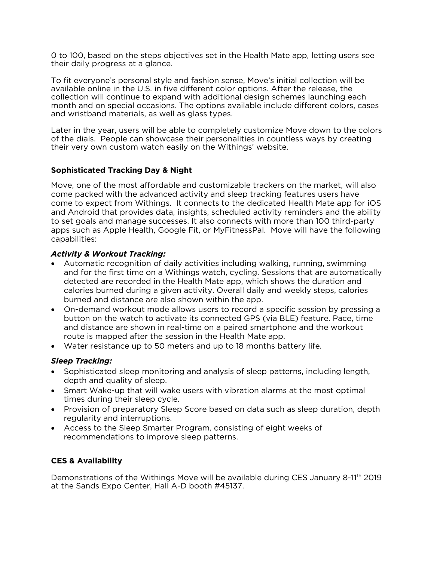0 to 100, based on the steps objectives set in the Health Mate app, letting users see their daily progress at a glance. their daily progress at a glance.

To fit evervone's personal style and fashion sense. Move's initial collection will be available online in the U.S. in five different color options. After the release, the collection will continue to expand with additional design schemes launching each month and on special occasions. The options available include different colors, cases and wristband materials, as well as glass types. and wristband materials, as well as glass types.

Later in the year, users will be able to completely customize Move down to the colors of the dials. People can showcase their personalities in countless ways by creating their very own custom watch easily on the Withings' website. their very own custom watch easily on the Withings' website.

## **Sophisticated Tracking Day & Night**

Move, one of the most affordable and customizable trackers on the market, will also come packed with the advanced activity and sleep tracking features users have come to expect from Withings. It connects to the dedicated Health Mate app for iOS and Android that provides data, insights, scheduled activity reminders and the ability to set goals and manage successes. It also connects with more than 100 third-party to set good as Annie Health. Google Fit or MyFitnessPal Move will have the following apps such as Apple Health, Google Fit, or MyFitnessPal. Move will have the following capabilities:

- **Automatic recognition of daily activities including walking, running, swimming**<br>and for the first time on a Withings watch cycling. Sessions that are automatic and for the first time on a Withings watch, cycling. Sessions that are automatically detected are recorded in the Health Mate app, which shows the duration and calories burned during a given activity. Overall daily and weekly steps, calories burned and distance are also shown within the app.
- On-demand workout mode allows users to record a specific session by pressing a<br>button on the watch to activate its connected GPS (via BLF) feature. Pace, time button on the watch to activate its connected GPS (via BLE) feature. Pace, time route is mapped after the session in the Health Mate app.
- Water resistance up to 50 meters and up to 18 months battery life.

- *Sleep Tracking:* Sophisticated sleep monitoring and analysis of sleep patterns, including length,
- Smart Wake-up that will wake users with vibration alarms at the most optimal times during their sleep cycle
- Provision of preparatory Sleep Score based on data such as sleep duration, depth requilarity and interruptions
- Access to the Sleep Smarter Program, consisting of eight weeks of recommendations to improve sleep patterns recommendations to improve sleep patterns.

# **CES & Availability**

Demonstrations of the Withings Move will be available during CES January 8-11" 2019<br>at the Sands Expo Center. Hall A-D booth #45137. at the Sands Expo Center, Hall A-D booth #45137.